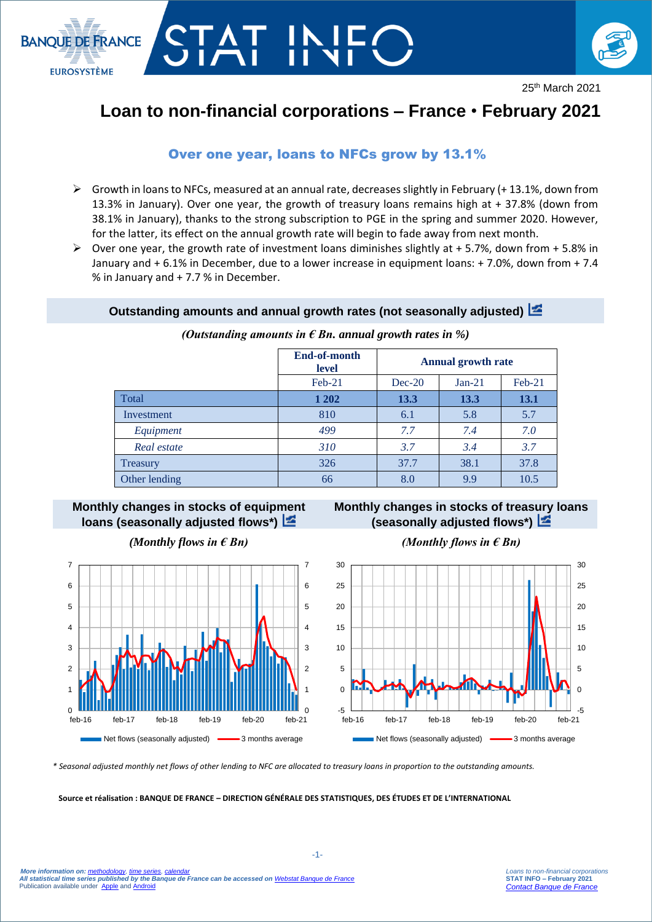

# STAT IN



25th March 2021

## **Loan to non-financial corporations – France** • **February 2021**

### Over one year, loans to NFCs grow by 13.1%

- $\triangleright$  Growth in loans to NFCs, measured at an annual rate, decreases slightly in February (+13.1%, down from 13.3% in January). Over one year, the growth of treasury loans remains high at + 37.8% (down from 38.1% in January), thanks to the strong subscription to PGE in the spring and summer 2020. However, for the latter, its effect on the annual growth rate will begin to fade away from next month.
- $\triangleright$  Over one year, the growth rate of investment loans diminishes slightly at + 5.7%, down from + 5.8% in January and + 6.1% in December, due to a lower increase in equipment loans: + 7.0%, down from + 7.4 % in January and + 7.7 % in December.

#### **Outstanding amounts and annual growth rates (not seasonally adjusted)**

**End-of-month level Annual growth rate** Feb-21 Dec-20 Jan-21 Feb-21 Total **1 202 13.3 13.3 13.1** Investment 1 810 6.1 5.8 5.7  *Equipment 499 7.7 7.4 7.0 Real estate 310 3.7 3.4 3.7* Treasury 326 27.7 38.1 37.8 Other lending 66 8.0 9.9 10.5

#### *(Outstanding amounts in € Bn. annual growth rates in %)*

#### **Monthly changes in stocks of equipment loans (seasonally adjusted flows\*)**



#### *(Monthly flows in € Bn) (Monthly flows in € Bn)*

#### **Monthly changes in stocks of treasury loans (seasonally adjusted flows\*)**



*\* Seasonal adjusted monthly net flows of other lending to NFC are allocated to treasury loans in proportion to the outstanding amounts.*

#### **Source et réalisation : BANQUE DE FRANCE – DIRECTION GÉNÉRALE DES STATISTIQUES, DES ÉTUDES ET DE L'INTERNATIONAL**